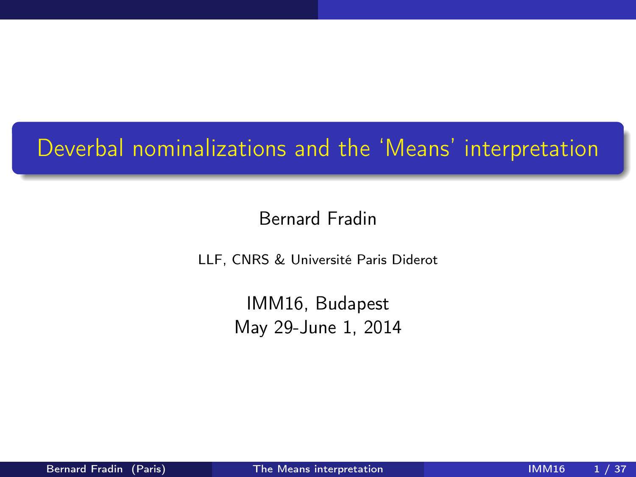# Deverbal nominalizations and the 'Means' interpretation

#### Bernard Fradin

LLF, CNRS & Université Paris Diderot

<span id="page-0-0"></span>IMM16, Budapest May 29-June 1, 2014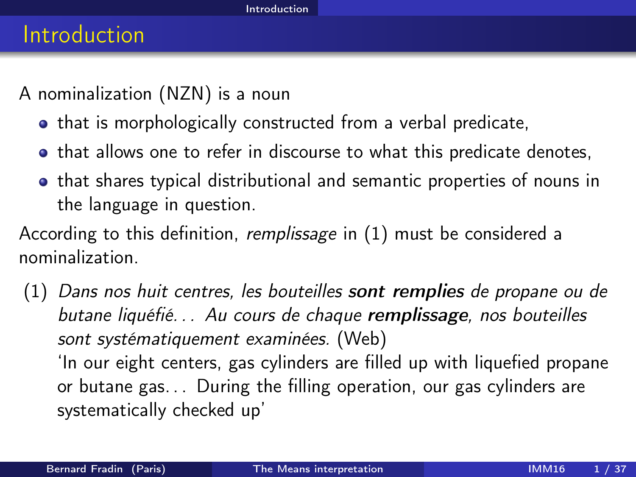A nominalization (NZN) is a noun

- that is morphologically constructed from a verbal predicate,
- that allows one to refer in discourse to what this predicate denotes,
- **•** that shares typical distributional and semantic properties of nouns in the language in question.

According to this definition, remplissage in [\(1\)](#page-1-1) must be considered a nominalization.

<span id="page-1-1"></span><span id="page-1-0"></span>(1) Dans nos huit centres, les bouteilles sont remplies de propane ou de butane liquéfié. . . Au cours de chaque remplissage, nos bouteilles sont systématiquement examinées. (Web) 'In our eight centers, gas cylinders are filled up with liquefied propane or butane gas. . . During the filling operation, our gas cylinders are systematically checked up'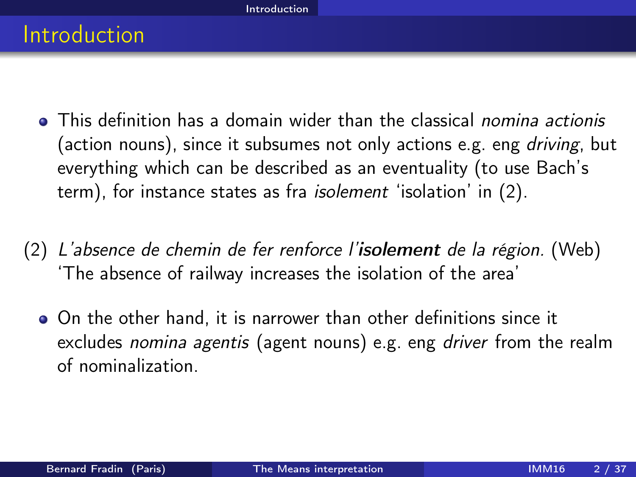- **This definition has a domain wider than the classical** *nomina actionis* (action nouns), since it subsumes not only actions e.g. eng driving, but everything which can be described as an eventuality (to use Bach's term), for instance states as fra isolement 'isolation' in [\(2\)](#page-2-1).
- <span id="page-2-1"></span><span id="page-2-0"></span> $(2)$  L'absence de chemin de fer renforce l'isolement de la région. (Web) 'The absence of railway increases the isolation of the area'
	- On the other hand, it is narrower than other definitions since it excludes *nomina agentis* (agent nouns) e.g. eng *driver* from the realm of nominalization.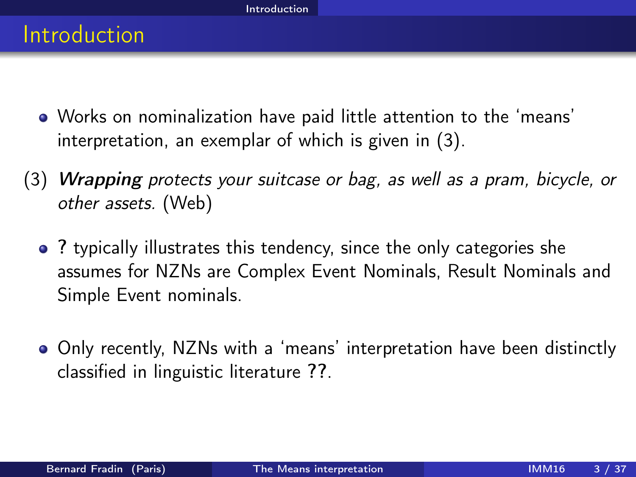- Works on nominalization have paid little attention to the 'means' interpretation, an exemplar of which is given in [\(3\)](#page-3-1).
- <span id="page-3-1"></span><span id="page-3-0"></span>(3) Wrapping protects your suitcase or bag, as well as a pram, bicycle, or other assets. (Web)
	- ? typically illustrates this tendency, since the only categories she assumes for NZNs are Complex Event Nominals, Result Nominals and Simple Event nominals.
	- Only recently, NZNs with a 'means' interpretation have been distinctly classified in linguistic literature ??.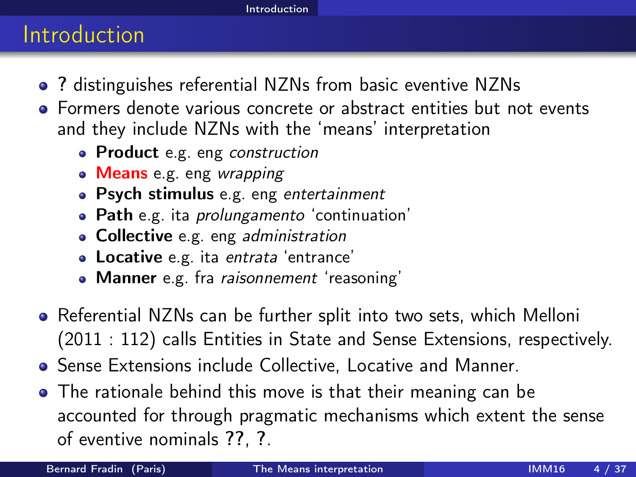#### **Introduction**

- ? distinguishes referential NZNs from basic eventive NZNs
- Formers denote various concrete or abstract entities but not events and they include NZNs with the 'means' interpretation
	- Product e.g. eng construction
	- Means e.g. eng wrapping
	- Psych stimulus e.g. eng entertainment
	- Path e.g. ita *prolungamento* 'continuation'
	- Collective e.g. eng administration
	- **Locative** e.g. ita entrata 'entrance'
	- Manner e.g. fra raisonnement 'reasoning'
- Referential NZNs can be further split into two sets, which Melloni (2011 : 112) calls Entities in State and Sense Extensions, respectively.
- Sense Extensions include Collective, Locative and Manner.
- <span id="page-4-0"></span>The rationale behind this move is that their meaning can be accounted for through pragmatic mechanisms which extent the sense of eventive nominals ??, ?.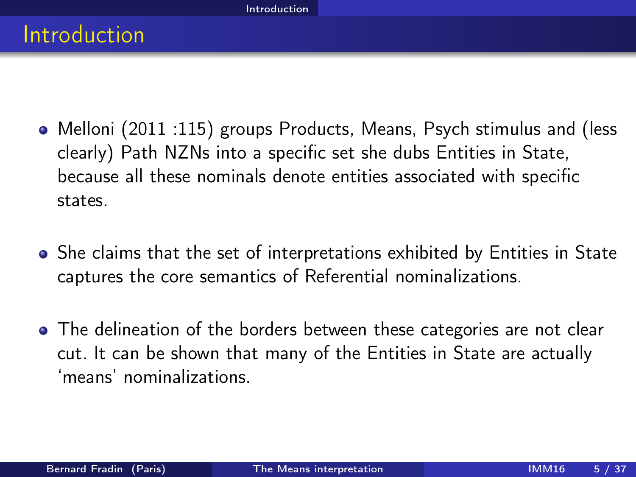- Melloni (2011 :115) groups Products, Means, Psych stimulus and (less clearly) Path NZNs into a specific set she dubs Entities in State, because all these nominals denote entities associated with specific states.
- She claims that the set of interpretations exhibited by Entities in State captures the core semantics of Referential nominalizations.
- <span id="page-5-0"></span>• The delineation of the borders between these categories are not clear cut. It can be shown that many of the Entities in State are actually 'means' nominalizations.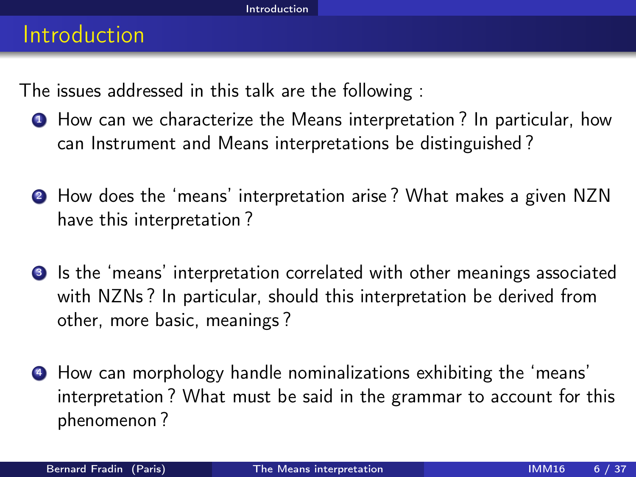The issues addressed in this talk are the following :

- **1** How can we characterize the Means interpretation? In particular, how can Instrument and Means interpretations be distinguished ?
- <sup>2</sup> How does the 'means' interpretation arise ? What makes a given NZN have this interpretation ?
- **3** Is the 'means' interpretation correlated with other meanings associated with NZNs ? In particular, should this interpretation be derived from other, more basic, meanings ?
- <span id="page-6-0"></span><sup>4</sup> How can morphology handle nominalizations exhibiting the 'means' interpretation ? What must be said in the grammar to account for this phenomenon ?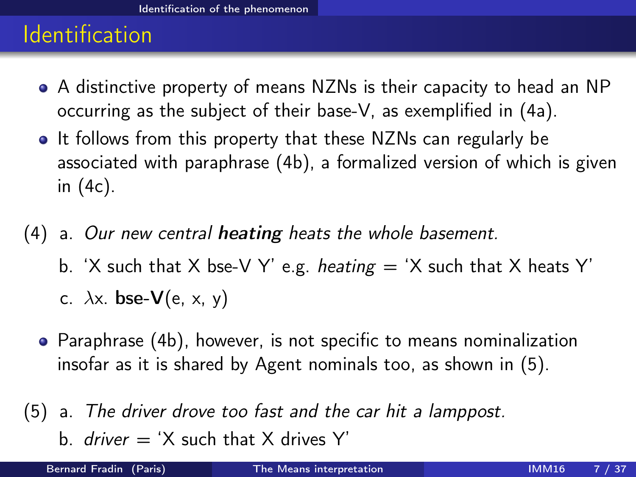- A distinctive property of means NZNs is their capacity to head an NP occurring as the subject of their base-V, as exemplified in [\(4a\)](#page-7-1).
- It follows from this property that these NZNs can regularly be associated with paraphrase [\(4b\)](#page-7-2), a formalized version of which is given in [\(4c\)](#page-7-3).
- <span id="page-7-3"></span><span id="page-7-2"></span><span id="page-7-1"></span>(4) a. Our new central heating heats the whole basement. b. 'X such that X bse-V Y' e.g. heating  $=$  'X such that X heats Y' c.  $\lambda$ x. **bse-V**(e, x, y)
	- Paraphrase [\(4b\)](#page-7-2), however, is not specific to means nominalization insofar as it is shared by Agent nominals too, as shown in [\(5\)](#page-7-4).
- <span id="page-7-4"></span>(5) a. The driver drove too fast and the car hit a lamppost. b. *driver*  $=$  'X such that X drives Y'

<span id="page-7-0"></span>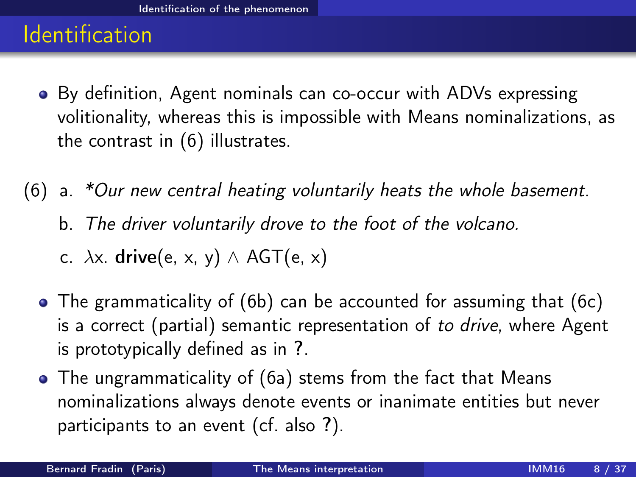- By definition, Agent nominals can co-occur with ADVs expressing volitionality, whereas this is impossible with Means nominalizations, as the contrast in [\(6\)](#page-8-1) illustrates.
- <span id="page-8-4"></span><span id="page-8-3"></span><span id="page-8-2"></span><span id="page-8-1"></span><span id="page-8-0"></span>(6) a. \*Our new central heating voluntarily heats the whole basement. b. The driver voluntarily drove to the foot of the volcano.
	- c.  $\lambda$ x. drive(e, x, y)  $\wedge$  AGT(e, x)
	- The grammaticality of [\(6b\)](#page-8-2) can be accounted for assuming that [\(6c\)](#page-8-3) is a correct (partial) semantic representation of to drive, where Agent is prototypically defined as in ?.
	- The ungrammaticality of [\(6a\)](#page-8-4) stems from the fact that Means nominalizations always denote events or inanimate entities but never participants to an event (cf. also ?).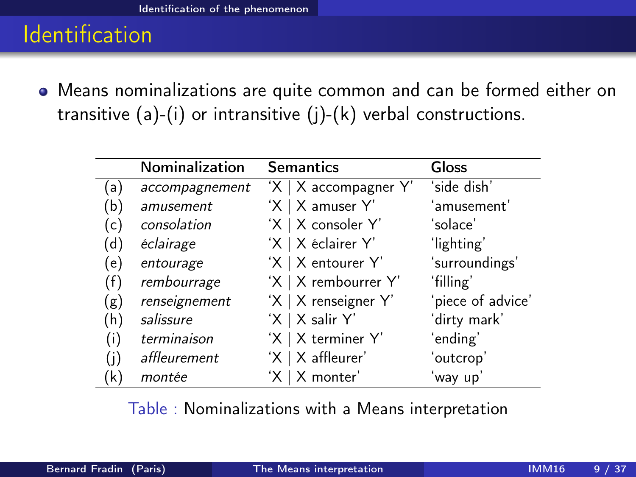÷

Means nominalizations are quite common and can be formed either on transitive  $(a)-(i)$  or intransitive  $(j)-(k)$  verbal constructions.

|     | <b>Nominalization</b> | <b>Semantics</b>           | <b>Gloss</b>      |  |
|-----|-----------------------|----------------------------|-------------------|--|
| (a) | accompagnement        | $'X \mid X$ accompagner Y' | ʻside dish'       |  |
| (b) | amusement             | $'X \mid X$ amuser Y'      | ʻamusement'       |  |
| (c) | consolation           | 'X   X consoler Y'         | 'solace'          |  |
| (d) | éclairage             | 'X   X éclairer Y'         | 'lighting'        |  |
| (e) | entourage             | 'X   X entourer Y'         | 'surroundings'    |  |
| (f) | rembourrage           | 'X   X rembourrer Y'       | 'filling'         |  |
| (g) | renseignement         | 'X   X renseigner Y'       | 'piece of advice' |  |
| (h) | salissure             | 'X   X salir Y'            | ʻdirty mark'      |  |
| (i) | terminaison           | 'X   X terminer Y'         | ʻending'          |  |
| (i) | affleurement          | $'X \mid X$ affleurer'     | 'outcrop'         |  |
| (k) | montée                | 'X   X monter'             | 'way up'          |  |

<span id="page-9-0"></span>Table : Nominalizations with a Means interpretation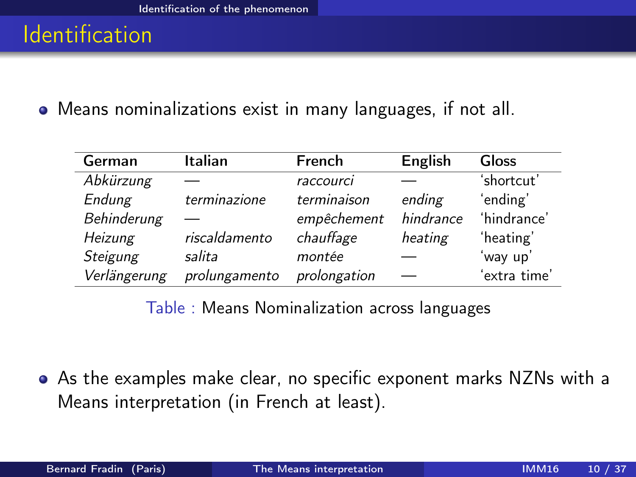Means nominalizations exist in many languages, if not all.

| German       | Italian       | French       | English   | Gloss        |
|--------------|---------------|--------------|-----------|--------------|
| Abkürzung    |               | raccourci    |           | 'shortcut'   |
| Endung       | terminazione  | terminaison  | ending    | 'ending'     |
| Behinderung  |               | empêchement  | hindrance | 'hindrance'  |
| Heizung      | riscaldamento | chauffage    | heating   | 'heating'    |
| Steigung     | salita        | montée       |           | 'way up'     |
| Verlängerung | prolungamento | prolongation |           | 'extra time' |

<span id="page-10-0"></span>Table : Means Nominalization across languages

As the examples make clear, no specific exponent marks NZNs with a Means interpretation (in French at least).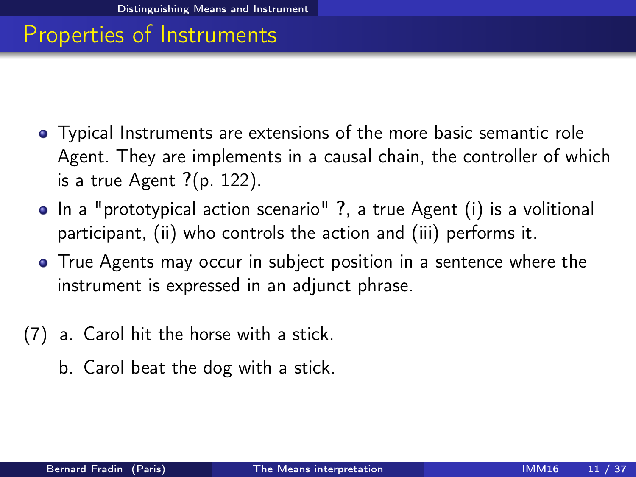- Typical Instruments are extensions of the more basic semantic role Agent. They are implements in a causal chain, the controller of which is a true Agent  $?$ (p. 122).
- In a "prototypical action scenario" ?, a true Agent (i) is a volitional participant, (ii) who controls the action and (iii) performs it.
- True Agents may occur in subject position in a sentence where the instrument is expressed in an adjunct phrase.
- <span id="page-11-0"></span>(7) a. Carol hit the horse with a stick.
	- b. Carol beat the dog with a stick.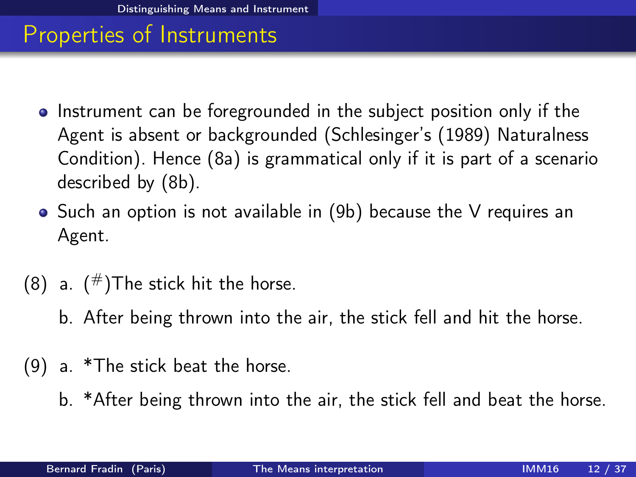- Instrument can be foregrounded in the subject position only if the Agent is absent or backgrounded (Schlesinger's (1989) Naturalness Condition). Hence [\(8a\)](#page-12-1) is grammatical only if it is part of a scenario described by [\(8b\)](#page-12-2).
- Such an option is not available in [\(9b\)](#page-12-3) because the V requires an Agent.
- <span id="page-12-2"></span><span id="page-12-1"></span>(8) a.  $(\#)$ The stick hit the horse.
	- b. After being thrown into the air, the stick fell and hit the horse.
- <span id="page-12-3"></span><span id="page-12-0"></span>(9) a. \*The stick beat the horse.
	- b. \*After being thrown into the air, the stick fell and beat the horse.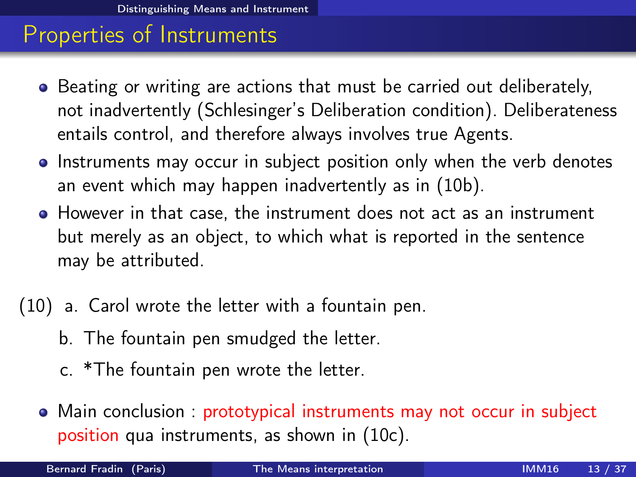- Beating or writing are actions that must be carried out deliberately, not inadvertently (Schlesinger's Deliberation condition). Deliberateness entails control, and therefore always involves true Agents.
- Instruments may occur in subject position only when the verb denotes an event which may happen inadvertently as in [\(10b\)](#page-13-1).
- However in that case, the instrument does not act as an instrument but merely as an object, to which what is reported in the sentence may be attributed.
- <span id="page-13-3"></span><span id="page-13-2"></span><span id="page-13-1"></span><span id="page-13-0"></span>(10) a. Carol wrote the letter with a fountain pen.
	- b. The fountain pen smudged the letter.
	- c. \*The fountain pen wrote the letter.
	- Main conclusion : prototypical instruments may not occur in subject position qua instruments, as shown in [\(10c\)](#page-13-2).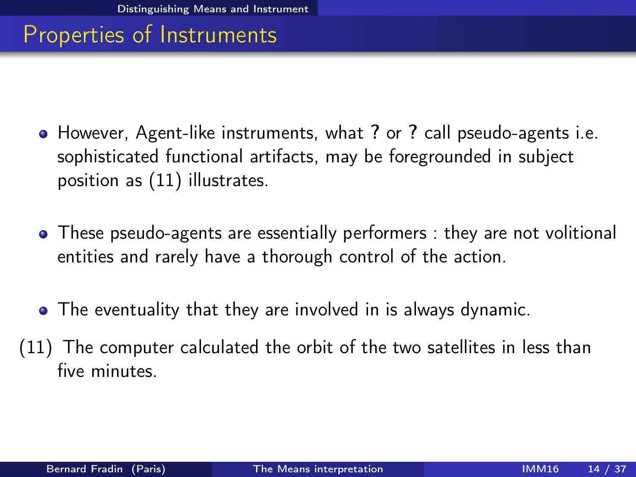- However, Agent-like instruments, what ? or ? call pseudo-agents i.e. sophisticated functional artifacts, may be foregrounded in subject position as [\(11\)](#page-14-1) illustrates.
- These pseudo-agents are essentially performers : they are not volitional entities and rarely have a thorough control of the action.
- <span id="page-14-0"></span>The eventuality that they are involved in is always dynamic.
- <span id="page-14-1"></span>(11) The computer calculated the orbit of the two satellites in less than five minutes.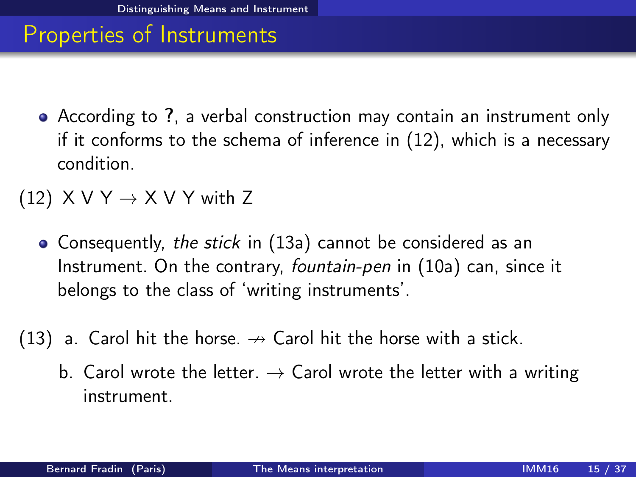- According to ?, a verbal construction may contain an instrument only if it conforms to the schema of inference in [\(12\)](#page-15-1), which is a necessary condition.
- <span id="page-15-1"></span>(12)  $X V Y \rightarrow X V Y$  with Z
	- Consequently, the stick in [\(13a\)](#page-15-2) cannot be considered as an Instrument. On the contrary, fountain-pen in [\(10a\)](#page-13-3) can, since it belongs to the class of 'writing instruments'.
- <span id="page-15-2"></span><span id="page-15-0"></span>(13) a. Carol hit the horse.  $\rightarrow$  Carol hit the horse with a stick.
	- b. Carol wrote the letter.  $\rightarrow$  Carol wrote the letter with a writing instrument.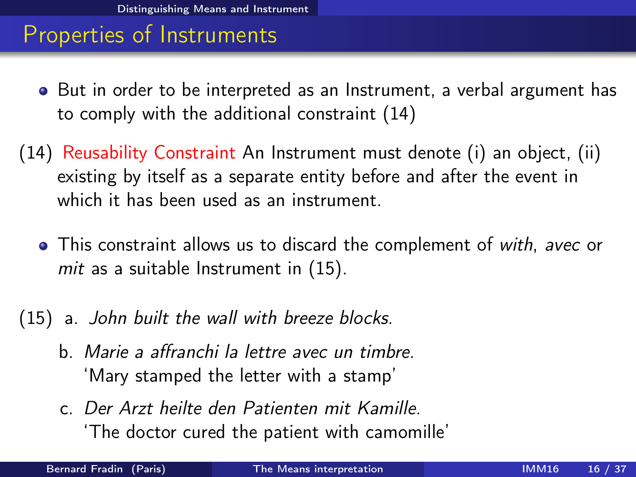- But in order to be interpreted as an Instrument, a verbal argument has to comply with the additional constraint [\(14\)](#page-16-1)
- <span id="page-16-1"></span>(14) Reusability Constraint An Instrument must denote (i) an object, (ii) existing by itself as a separate entity before and after the event in which it has been used as an instrument.
	- This constraint allows us to discard the complement of with, avec or mit as a suitable Instrument in [\(15\)](#page-16-2).
- <span id="page-16-2"></span><span id="page-16-0"></span>(15) a. John built the wall with breeze blocks.
	- b. Marie a affranchi la lettre avec un timbre. 'Mary stamped the letter with a stamp'
	- c. Der Arzt heilte den Patienten mit Kamille. 'The doctor cured the patient with camomille'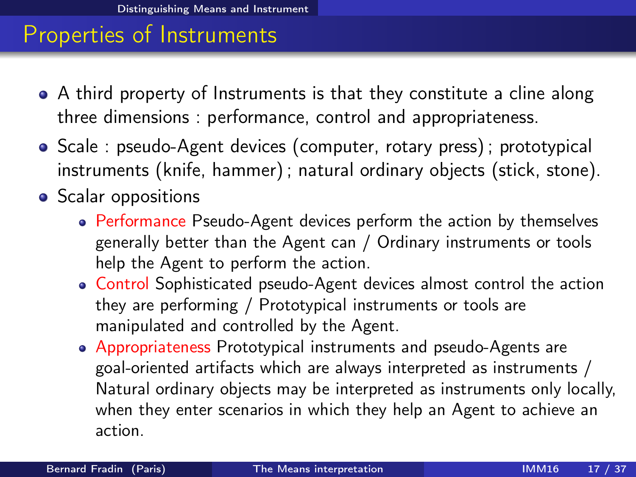- A third property of Instruments is that they constitute a cline along three dimensions : performance, control and appropriateness.
- Scale : pseudo-Agent devices (computer, rotary press) ; prototypical instruments (knife, hammer) ; natural ordinary objects (stick, stone).
- <span id="page-17-0"></span>• Scalar oppositions
	- Performance Pseudo-Agent devices perform the action by themselves generally better than the Agent can / Ordinary instruments or tools help the Agent to perform the action.
	- Control Sophisticated pseudo-Agent devices almost control the action they are performing / Prototypical instruments or tools are manipulated and controlled by the Agent.
	- Appropriateness Prototypical instruments and pseudo-Agents are goal-oriented artifacts which are always interpreted as instruments / Natural ordinary objects may be interpreted as instruments only locally, when they enter scenarios in which they help an Agent to achieve an action.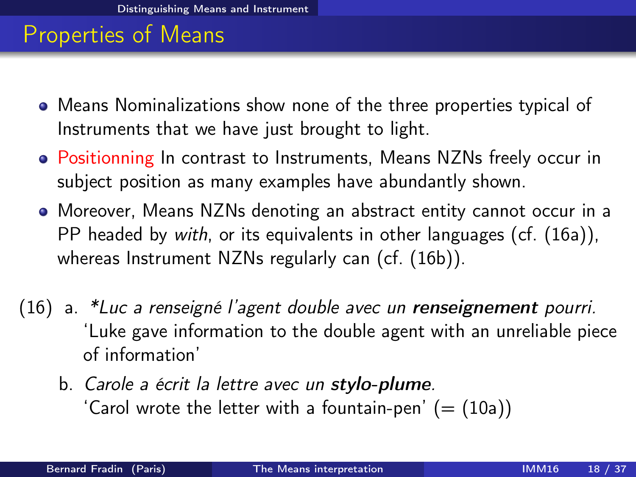- Means Nominalizations show none of the three properties typical of Instruments that we have just brought to light.
- Positionning In contrast to Instruments, Means NZNs freely occur in subject position as many examples have abundantly shown.
- Moreover, Means NZNs denoting an abstract entity cannot occur in a PP headed by with, or its equivalents in other languages (cf. [\(16a\)](#page-18-1)), whereas Instrument NZNs regularly can (cf. [\(16b\)](#page-18-2)).
- <span id="page-18-2"></span><span id="page-18-1"></span><span id="page-18-0"></span>(16) a. \*Luc a renseigné l'agent double avec un renseignement pourri. 'Luke gave information to the double agent with an unreliable piece of information'
	- b. Carole a écrit la lettre avec un stylo-plume. 'Carol wrote the letter with a fountain-pen'  $(=(10a))$  $(=(10a))$  $(=(10a))$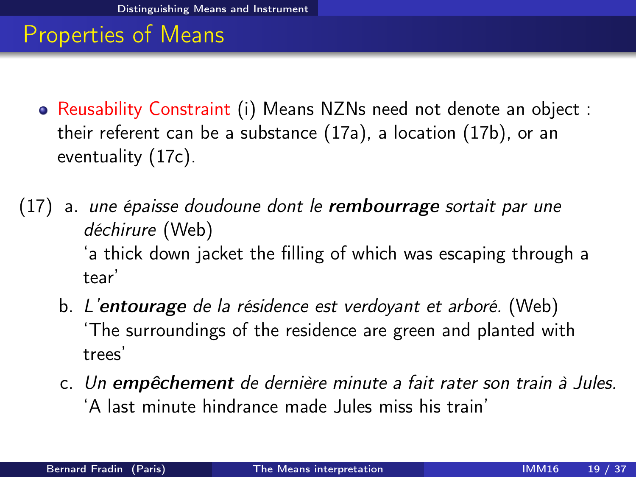- Reusability Constraint (i) Means NZNs need not denote an object : their referent can be a substance [\(17a\)](#page-19-1), a location [\(17b\)](#page-19-2), or an eventuality [\(17c\)](#page-19-3).
- <span id="page-19-3"></span><span id="page-19-2"></span><span id="page-19-1"></span><span id="page-19-0"></span>(17) a. une épaisse doudoune dont le **rembourrage** sortait par une déchirure (Web) 'a thick down jacket the filling of which was escaping through a tear'
	- b. L'entourage de la résidence est verdoyant et arboré. (Web) 'The surroundings of the residence are green and planted with trees'
	- c. Un empêchement de dernière minute a fait rater son train à Jules. 'A last minute hindrance made Jules miss his train'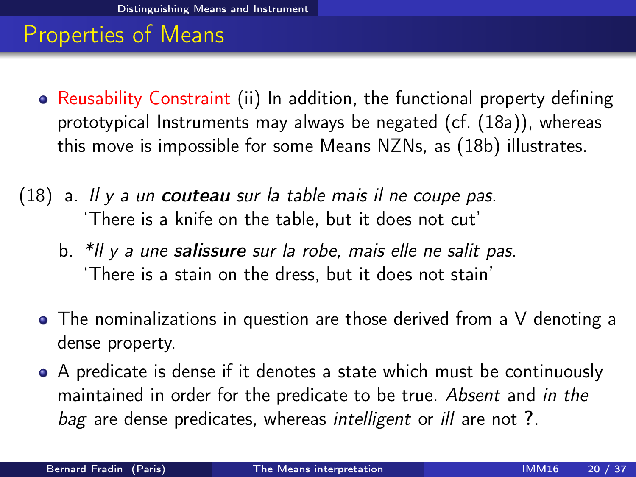- Reusability Constraint (ii) In addition, the functional property defining prototypical Instruments may always be negated (cf. [\(18a\)](#page-20-1)), whereas this move is impossible for some Means NZNs, as [\(18b\)](#page-20-2) illustrates.
- <span id="page-20-2"></span><span id="page-20-1"></span><span id="page-20-0"></span>(18) a. Il y a un couteau sur la table mais il ne coupe pas. 'There is a knife on the table, but it does not cut'
	- b. \*Il y a une salissure sur la robe, mais elle ne salit pas. 'There is a stain on the dress, but it does not stain'
	- The nominalizations in question are those derived from a V denoting a dense property.
	- A predicate is dense if it denotes a state which must be continuously maintained in order for the predicate to be true. Absent and in the bag are dense predicates, whereas intelligent or ill are not ?.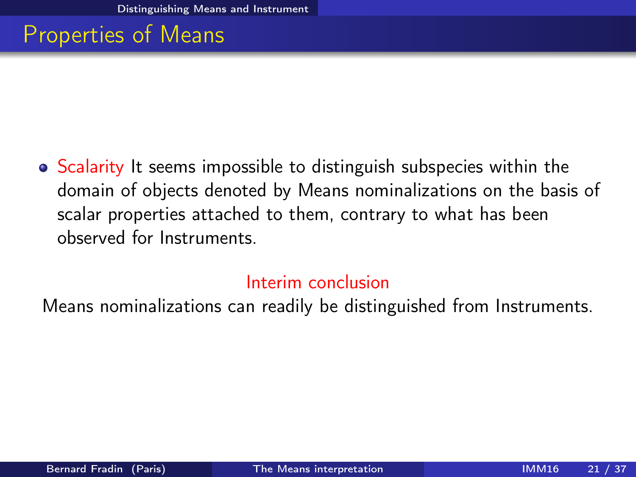• Scalarity It seems impossible to distinguish subspecies within the domain of objects denoted by Means nominalizations on the basis of scalar properties attached to them, contrary to what has been observed for Instruments.

#### <span id="page-21-0"></span>Interim conclusion

Means nominalizations can readily be distinguished from Instruments.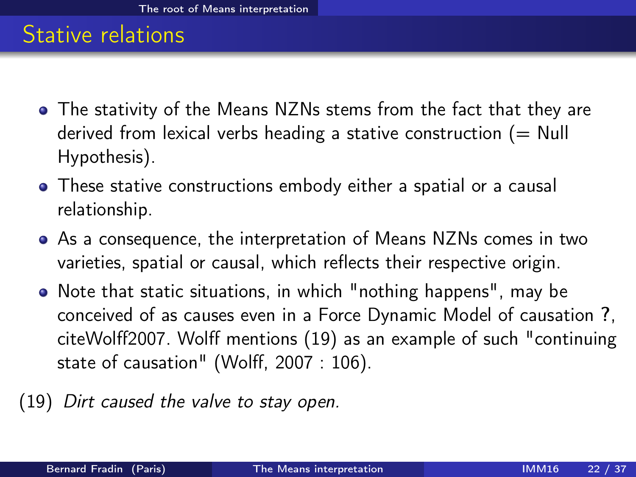#### Stative relations

- The stativity of the Means NZNs stems from the fact that they are derived from lexical verbs heading a stative construction  $(= Null)$ Hypothesis).
- These stative constructions embody either a spatial or a causal relationship.
- As a consequence, the interpretation of Means NZNs comes in two varieties, spatial or causal, which reflects their respective origin.
- Note that static situations, in which "nothing happens", may be conceived of as causes even in a Force Dynamic Model of causation ?, citeWolff2007. Wolff mentions [\(19\)](#page-22-1) as an example of such "continuing state of causation" (Wolff, 2007 : 106).
- <span id="page-22-1"></span><span id="page-22-0"></span>(19) Dirt caused the valve to stay open.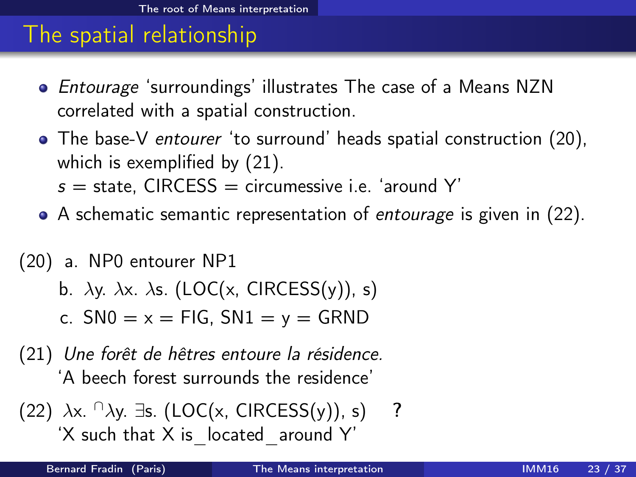### The spatial relationship

- Entourage 'surroundings' illustrates The case of a Means NZN correlated with a spatial construction.
- The base-V entourer 'to surround' heads spatial construction [\(20\)](#page-23-1), which is exemplified by [\(21\)](#page-23-2).
	- $s =$  state. CIRCESS = circumessive i.e. 'around Y'
- A schematic semantic representation of *entourage* is given in [\(22\)](#page-23-3).
- <span id="page-23-1"></span>(20) a. NP0 entourer NP1
	- b.  $\lambda$ y.  $\lambda$ x.  $\lambda$ s. (LOC(x, CIRCESS(y)), s)
	- c.  $SN0 = x = FIG$ ,  $SN1 = y = GRND$
- <span id="page-23-2"></span>(21) Une forêt de hêtres entoure la résidence. 'A beech forest surrounds the residence'

<span id="page-23-3"></span><span id="page-23-0"></span>(22) 
$$
\lambda x. \cap \lambda y. \exists s. (LOC(x, CIRCESS(y)), s)
$$
 ?  
'X such that X is located around Y'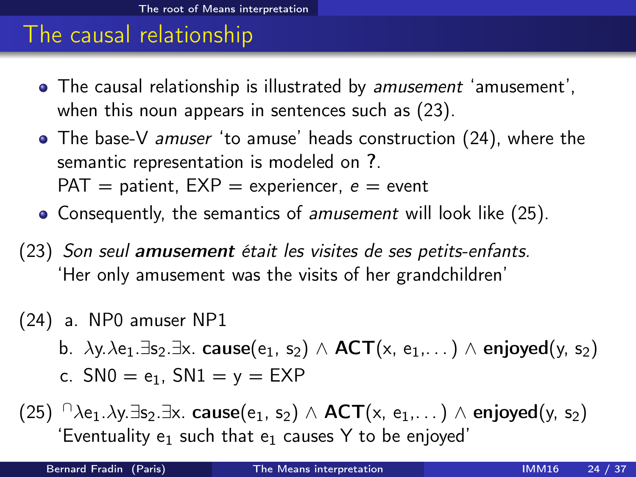# The causal relationship

- The causal relationship is illustrated by amusement 'amusement', when this noun appears in sentences such as [\(23\)](#page-24-1).
- The base-V *amuser* 'to amuse' heads construction [\(24\)](#page-24-2), where the semantic representation is modeled on ?.  $PAT =$  patient,  $EXP =$  experiencer,  $e =$  event
- Consequently, the semantics of *amusement* will look like [\(25\)](#page-24-3).
- <span id="page-24-1"></span>(23) Son seul amusement était les visites de ses petits-enfants. 'Her only amusement was the visits of her grandchildren'
- <span id="page-24-2"></span>(24) a. NP0 amuser NP1
	- b.  $\lambda y. \lambda e_1 \exists s_2 \exists x. \text{ cause}(e_1, s_2) \wedge \text{ACT}(x, e_1, \ldots) \wedge \text{enjoved}(y, s_2)$
	- c.  $SN0 = e_1$ ,  $SN1 = y = EXP$
- <span id="page-24-3"></span><span id="page-24-0"></span>(25)  $\bigcap_{\lambda e_1,\lambda y.\exists s_2.\exists x.\text{ cause}(e_1, s_2) \wedge ACT(x, e_1,...) \wedge \text{enjoved}(y, s_2)\big)$ 'Eventuality  $e_1$  such that  $e_1$  causes Y to be enjoyed'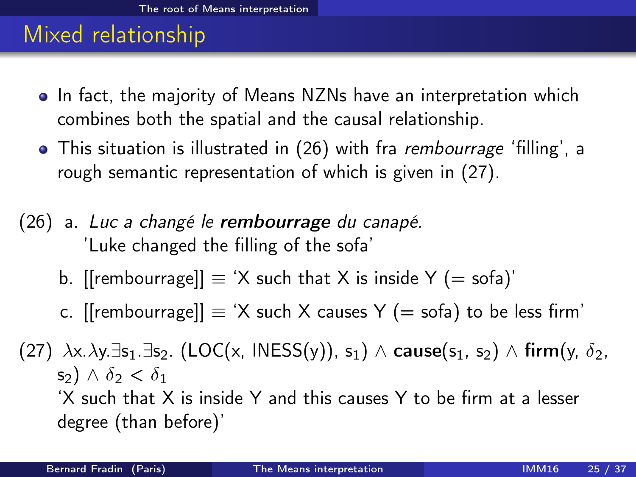# Mixed relationship

- In fact, the majority of Means NZNs have an interpretation which combines both the spatial and the causal relationship.
- This situation is illustrated in [\(26\)](#page-25-1) with fra *rembourrage* 'filling', a rough semantic representation of which is given in [\(27\)](#page-25-2).
- <span id="page-25-1"></span>(26) a. Luc a changé le rembourrage du canapé. 'Luke changed the filling of the sofa'
	- b. [[rembourrage]]  $\equiv$  'X such that X is inside Y (= sofa)'
	- c. [[rembourrage]]  $\equiv$  'X such X causes Y (= sofa) to be less firm'

<span id="page-25-2"></span><span id="page-25-0"></span>(27)  $\lambda x.\lambda y.\exists s_1.\exists s_2$ . (LOC(x, INESS(y)),  $s_1$ )  $\wedge$  cause(s<sub>1</sub>, s<sub>2</sub>)  $\wedge$  firm(y,  $\delta_2$ , s<sub>2</sub>)  $\wedge$   $\delta_2 < \delta_1$ 'X such that X is inside Y and this causes Y to be firm at a lesser degree (than before)'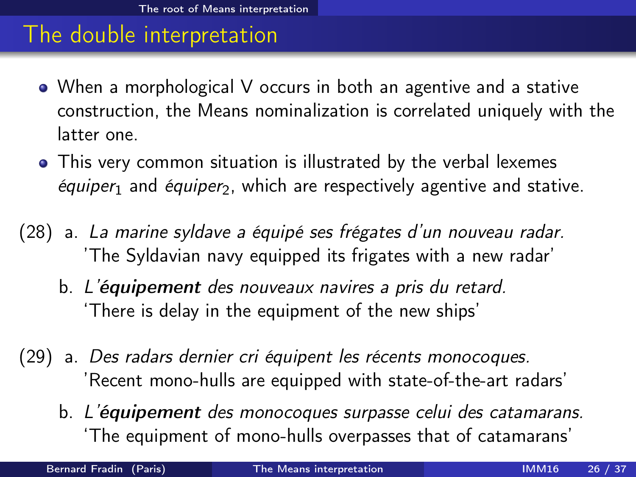#### The double interpretation

- When a morphological V occurs in both an agentive and a stative construction, the Means nominalization is correlated uniquely with the latter one.
- This very common situation is illustrated by the verbal lexemes  $équiper_1$  and  $équiper_2$ , which are respectively agentive and stative.
- (28) a. La marine syldave a équipé ses frégates d'un nouveau radar. 'The Syldavian navy equipped its frigates with a new radar'
	- b. L'équipement des nouveaux navires a pris du retard. 'There is delay in the equipment of the new ships'
- (29) a. Des radars dernier cri équipent les récents monocoques. 'Recent mono-hulls are equipped with state-of-the-art radars'
	- b. L'équipement des monocoques surpasse celui des catamarans. 'The equipment of mono-hulls overpasses that of catamarans'

<span id="page-26-0"></span>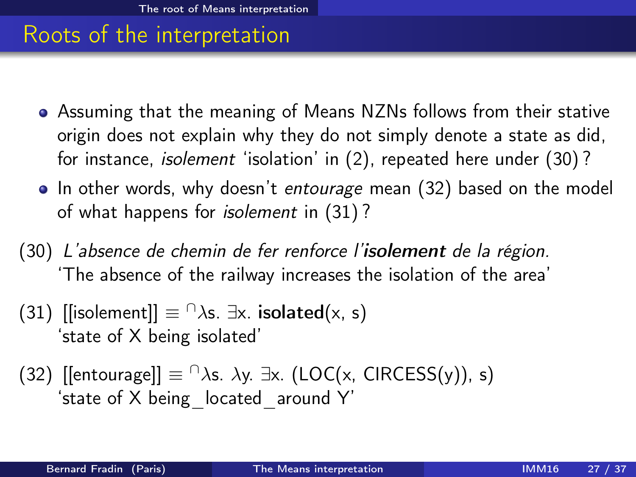#### Roots of the interpretation

- Assuming that the meaning of Means NZNs follows from their stative origin does not explain why they do not simply denote a state as did, for instance, isolement 'isolation' in [\(2\)](#page-2-1), repeated here under [\(30\)](#page-27-1) ?
- In other words, why doesn't entourage mean [\(32\)](#page-27-2) based on the model of what happens for isolement in [\(31\)](#page-27-3) ?
- <span id="page-27-1"></span>(30) L'absence de chemin de fer renforce l'isolement de la région. 'The absence of the railway increases the isolation of the area'
- <span id="page-27-3"></span>(31) [[isolement]]  $\equiv \bigcap \lambda s$ .  $\exists x$ . isolated(x, s) 'state of X being isolated'
- <span id="page-27-2"></span><span id="page-27-0"></span>(32)  $\text{[lentourage]} \equiv \bigcap \lambda s$ .  $\lambda y$ .  $\exists x$ . (LOC(x, CIRCESS(y)), s) 'state of X being\_located\_around Y'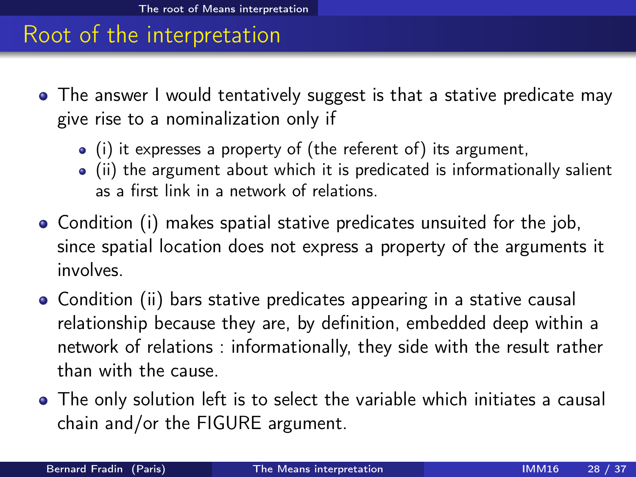#### Root of the interpretation

- The answer I would tentatively suggest is that a stative predicate may give rise to a nominalization only if
	- (i) it expresses a property of (the referent of) its argument,
	- $\bullet$  (ii) the argument about which it is predicated is informationally salient as a first link in a network of relations.
- Condition (i) makes spatial stative predicates unsuited for the job, since spatial location does not express a property of the arguments it involves.
- Condition (ii) bars stative predicates appearing in a stative causal relationship because they are, by definition, embedded deep within a network of relations : informationally, they side with the result rather than with the cause.
- <span id="page-28-0"></span>The only solution left is to select the variable which initiates a causal chain and/or the FIGURE argument.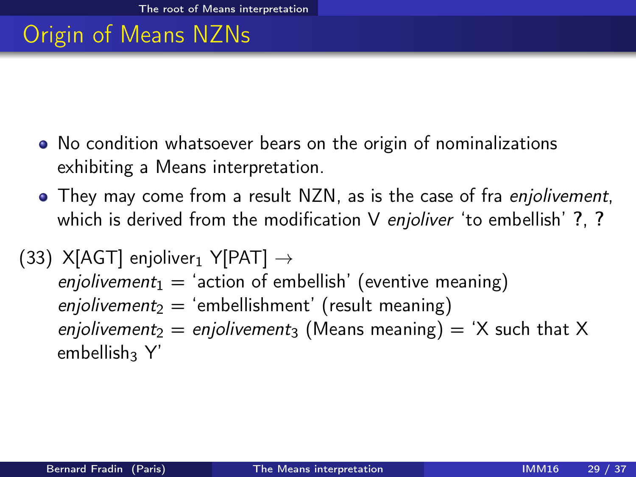# Origin of Means NZNs

- No condition whatsoever bears on the origin of nominalizations exhibiting a Means interpretation.
- They may come from a result NZN, as is the case of fra *enjolivement*, which is derived from the modification V enjoliver 'to embellish' ?, ?
- <span id="page-29-0"></span>(33) X[AGT] enjoliver<sub>1</sub> Y[PAT]  $\rightarrow$ enjolivement<sub>1</sub> = 'action of embellish' (eventive meaning) enjolivement<sub>2</sub> = 'embellishment' (result meaning) enjolivement<sub>2</sub> = enjolivement<sub>3</sub> (Means meaning) = 'X such that X  $embellish<sub>3</sub> Y'$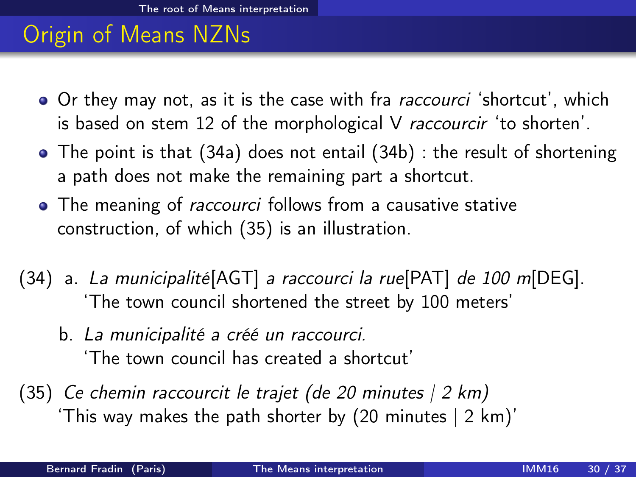# Origin of Means NZNs

- Or they may not, as it is the case with fra *raccourci* 'shortcut', which is based on stem 12 of the morphological V raccourcir 'to shorten'.
- The point is that [\(34a\)](#page-30-1) does not entail [\(34b\)](#page-30-2) : the result of shortening a path does not make the remaining part a shortcut.
- The meaning of *raccourci* follows from a causative stative construction, of which [\(35\)](#page-30-3) is an illustration.
- <span id="page-30-2"></span><span id="page-30-1"></span>(34) a. La municipalité[AGT] a raccourci la rue[PAT] de 100 m[DEG]. 'The town council shortened the street by 100 meters'
	- b. La municipalité a créé un raccourci. 'The town council has created a shortcut'
- <span id="page-30-3"></span><span id="page-30-0"></span>(35) Ce chemin raccourcit le trajet (de 20 minutes  $(2 \text{ km})$ 'This way makes the path shorter by (20 minutes | 2 km)'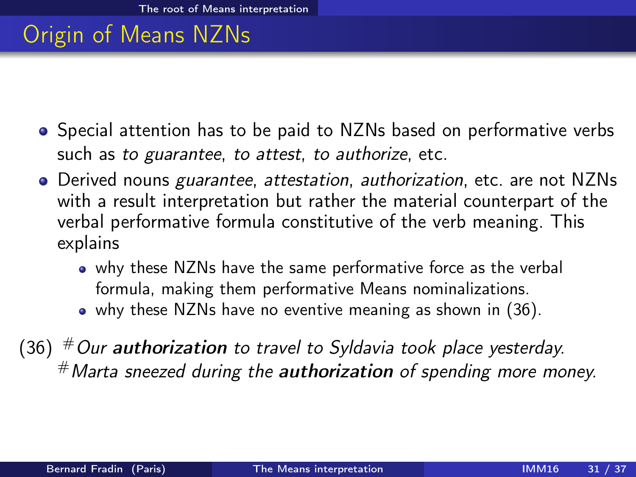# Origin of Means NZNs

- Special attention has to be paid to NZNs based on performative verbs such as to guarantee, to attest, to authorize, etc.
- Derived nouns *guarantee, attestation, authorization*, etc. are not NZNs with a result interpretation but rather the material counterpart of the verbal performative formula constitutive of the verb meaning. This explains
	- why these NZNs have the same performative force as the verbal formula, making them performative Means nominalizations.
	- why these NZNs have no eventive meaning as shown in [\(36\)](#page-31-1).

<span id="page-31-1"></span><span id="page-31-0"></span>(36)  $#$  Our authorization to travel to Syldavia took place yesterday.  $#$  Marta sneezed during the **authorization** of spending more money.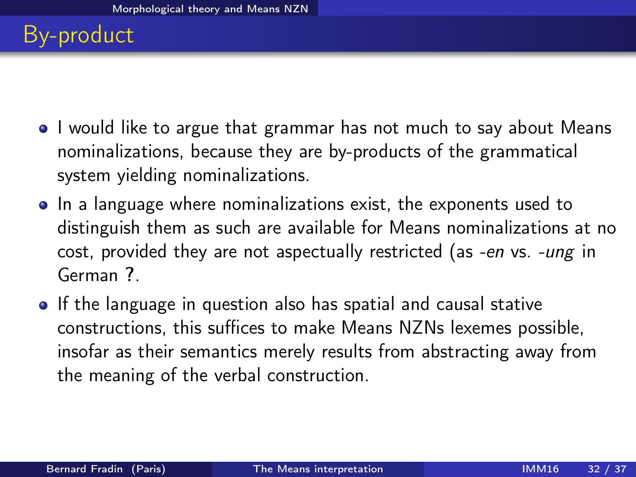# By-product

- I would like to argue that grammar has not much to say about Means nominalizations, because they are by-products of the grammatical system yielding nominalizations.
- In a language where nominalizations exist, the exponents used to distinguish them as such are available for Means nominalizations at no cost, provided they are not aspectually restricted (as -en vs. -ung in German ?.
- <span id="page-32-0"></span>• If the language in question also has spatial and causal stative constructions, this suffices to make Means NZNs lexemes possible, insofar as their semantics merely results from abstracting away from the meaning of the verbal construction.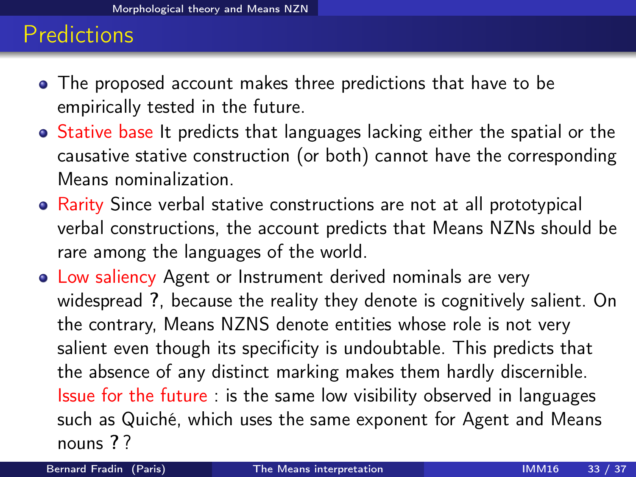#### Predictions

- The proposed account makes three predictions that have to be empirically tested in the future.
- Stative base It predicts that languages lacking either the spatial or the causative stative construction (or both) cannot have the corresponding Means nominalization.
- Rarity Since verbal stative constructions are not at all prototypical verbal constructions, the account predicts that Means NZNs should be rare among the languages of the world.
- Low saliency Agent or Instrument derived nominals are very widespread ?, because the reality they denote is cognitively salient. On the contrary, Means NZNS denote entities whose role is not very salient even though its specificity is undoubtable. This predicts that the absence of any distinct marking makes them hardly discernible. Issue for the future : is the same low visibility observed in languages such as Quiché, which uses the same exponent for Agent and Means nouns ? ?

<span id="page-33-0"></span>Bernard Fradin (Paris) **[The Means interpretation](#page-0-0)** IMM16 33 / 37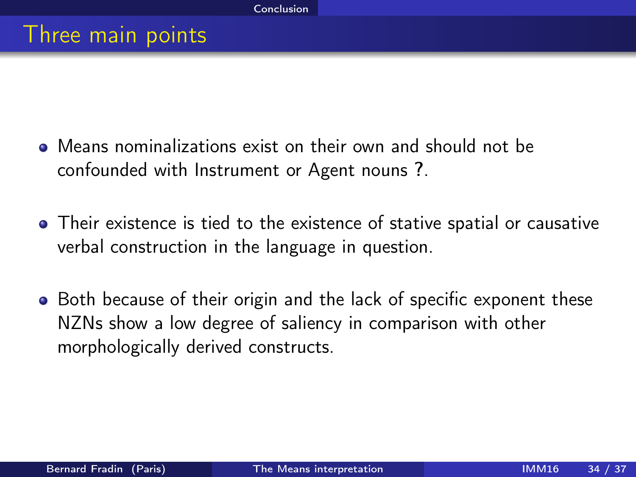- Means nominalizations exist on their own and should not be confounded with Instrument or Agent nouns ?.
- Their existence is tied to the existence of stative spatial or causative verbal construction in the language in question.
- <span id="page-34-0"></span>• Both because of their origin and the lack of specific exponent these NZNs show a low degree of saliency in comparison with other morphologically derived constructs.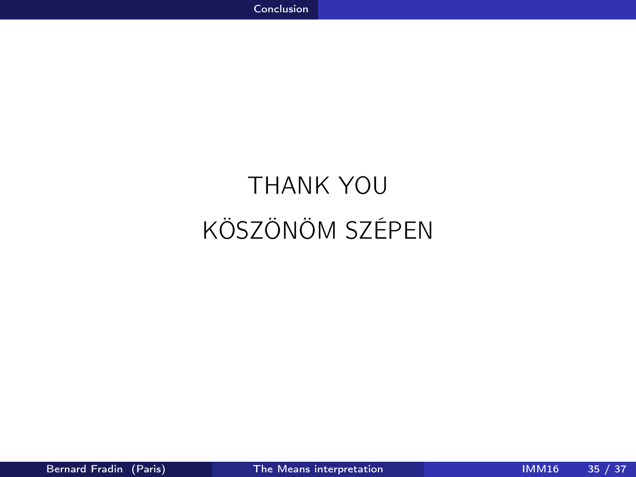# <span id="page-35-0"></span>THANK YOU KÖSZÖNÖM SZÉPEN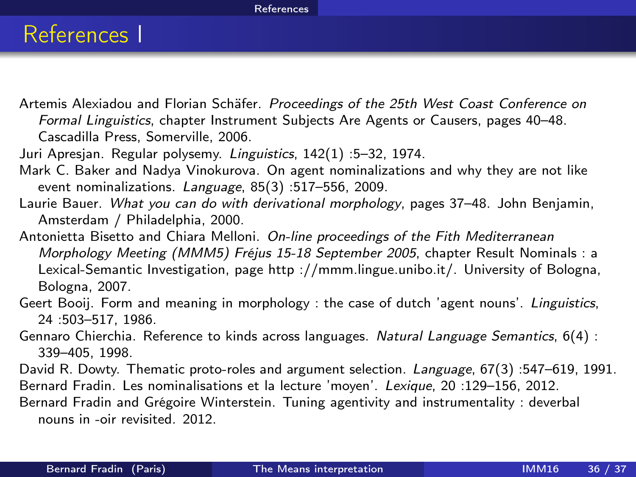#### <span id="page-36-0"></span>[References](#page-36-0)

#### References I

Artemis Alexiadou and Florian Schäfer. Proceedings of the 25th West Coast Conference on Formal Linguistics, chapter Instrument Subjects Are Agents or Causers, pages 40–48. Cascadilla Press, Somerville, 2006.

Juri Apresjan. Regular polysemy. Linguistics, 142(1) :5–32, 1974.

- Mark C. Baker and Nadya Vinokurova. On agent nominalizations and why they are not like event nominalizations. Language, 85(3) :517–556, 2009.
- Laurie Bauer. What you can do with derivational morphology, pages 37-48. John Benjamin, Amsterdam / Philadelphia, 2000.

Antonietta Bisetto and Chiara Melloni. On-line proceedings of the Fith Mediterranean Morphology Meeting (MMM5) Fréjus 15-18 September 2005, chapter Result Nominals : a Lexical-Semantic Investigation, page http ://mmm.lingue.unibo.it/. University of Bologna, Bologna, 2007.

- Geert Booij. Form and meaning in morphology : the case of dutch 'agent nouns'. Linguistics, 24 :503–517, 1986.
- Gennaro Chierchia. Reference to kinds across languages. Natural Language Semantics, 6(4) : 339–405, 1998.
- David R. Dowty. Thematic proto-roles and argument selection. Language, 67(3) :547–619, 1991.
- Bernard Fradin. Les nominalisations et la lecture 'moyen'. Lexique, 20 :129–156, 2012.

Bernard Fradin and Grégoire Winterstein. Tuning agentivity and instrumentality : deverbal nouns in -oir revisited. 2012.